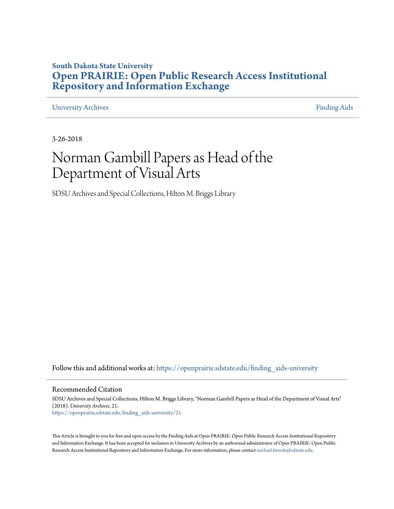### **South Dakota State University [Open PRAIRIE: Open Public Research Access Institutional](https://openprairie.sdstate.edu?utm_source=openprairie.sdstate.edu%2Ffinding_aids-university%2F21&utm_medium=PDF&utm_campaign=PDFCoverPages) [Repository and Information Exchange](https://openprairie.sdstate.edu?utm_source=openprairie.sdstate.edu%2Ffinding_aids-university%2F21&utm_medium=PDF&utm_campaign=PDFCoverPages)**

[University Archives](https://openprairie.sdstate.edu/finding_aids-university?utm_source=openprairie.sdstate.edu%2Ffinding_aids-university%2F21&utm_medium=PDF&utm_campaign=PDFCoverPages) [Finding Aids](https://openprairie.sdstate.edu/finding_aids?utm_source=openprairie.sdstate.edu%2Ffinding_aids-university%2F21&utm_medium=PDF&utm_campaign=PDFCoverPages)

3-26-2018

# Norman Gambill Papers as Head of the Department of Visual Arts

SDSU Archives and Special Collections, Hilton M. Briggs Library

Follow this and additional works at: [https://openprairie.sdstate.edu/finding\\_aids-university](https://openprairie.sdstate.edu/finding_aids-university?utm_source=openprairie.sdstate.edu%2Ffinding_aids-university%2F21&utm_medium=PDF&utm_campaign=PDFCoverPages)

Recommended Citation

SDSU Archives and Special Collections, Hilton M. Briggs Library, "Norman Gambill Papers as Head of the Department of Visual Arts" (2018). *University Archives*. 21. [https://openprairie.sdstate.edu/finding\\_aids-university/21](https://openprairie.sdstate.edu/finding_aids-university/21?utm_source=openprairie.sdstate.edu%2Ffinding_aids-university%2F21&utm_medium=PDF&utm_campaign=PDFCoverPages)

This Article is brought to you for free and open access by the Finding Aids at Open PRAIRIE: Open Public Research Access Institutional Repository and Information Exchange. It has been accepted for inclusion in University Archives by an authorized administrator of Open PRAIRIE: Open Public Research Access Institutional Repository and Information Exchange. For more information, please contact [michael.biondo@sdstate.edu.](mailto:michael.biondo@sdstate.edu)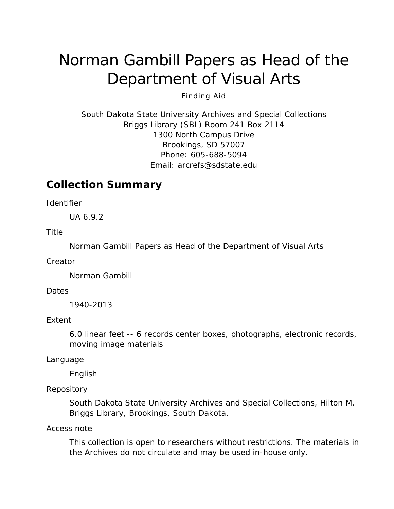# Norman Gambill Papers as Head of the Department of Visual Arts

Finding Aid

South Dakota State University Archives and Special Collections Briggs Library (SBL) Room 241 Box 2114 1300 North Campus Drive Brookings, SD 57007 Phone: 605-688-5094 Email: [arcrefs@sdstate.edu](mailto:arcrefs@sdstate.edu)

### **Collection Summary**

*Identifier*

UA 6.9.2

*Title*

Norman Gambill Papers as Head of the Department of Visual Arts

*Creator*

Norman Gambill

#### *Dates*

1940-2013

#### *Extent*

6.0 linear feet -- 6 records center boxes, photographs, electronic records, moving image materials

#### *Language*

English

#### *Repository*

South Dakota State University Archives and Special Collections, Hilton M. Briggs Library, Brookings, South Dakota.

#### *Access note*

This collection is open to researchers without restrictions. The materials in the Archives do not circulate and may be used in-house only.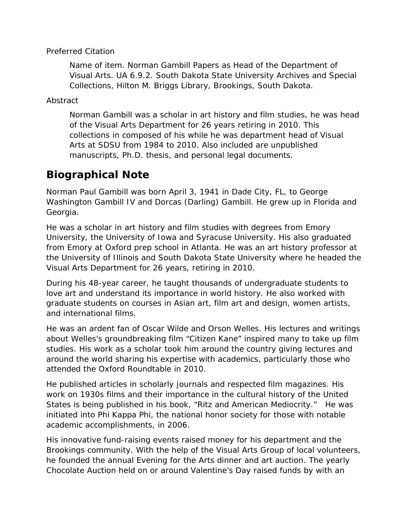#### *Preferred Citation*

*Name of item*. Norman Gambill Papers as Head of the Department of Visual Arts. UA 6.9.2. South Dakota State University Archives and Special Collections, Hilton M. Briggs Library, Brookings, South Dakota.

*Abstract*

Norman Gambill was a scholar in art history and film studies, he was head of the Visual Arts Department for 26 years retiring in 2010. This collections in composed of his while he was department head of Visual Arts at SDSU from 1984 to 2010. Also included are unpublished manuscripts, Ph.D. thesis, and personal legal documents.

### **Biographical Note**

Norman Paul Gambill was born April 3, 1941 in Dade City, FL, to George Washington Gambill IV and Dorcas (Darling) Gambill. He grew up in Florida and Georgia.

He was a scholar in art history and film studies with degrees from Emory University, the University of Iowa and Syracuse University. His also graduated from Emory at Oxford prep school in Atlanta. He was an art history professor at the University of Illinois and South Dakota State University where he headed the Visual Arts Department for 26 years, retiring in 2010.

During his 48-year career, he taught thousands of undergraduate students to love art and understand its importance in world history. He also worked with graduate students on courses in Asian art, film art and design, women artists, and international films.

He was an ardent fan of Oscar Wilde and Orson Welles. His lectures and writings about Welles's groundbreaking film "Citizen Kane" inspired many to take up film studies. His work as a scholar took him around the country giving lectures and around the world sharing his expertise with academics, particularly those who attended the Oxford Roundtable in 2010.

He published articles in scholarly journals and respected film magazines. His work on 1930s films and their importance in the cultural history of the United States is being published in his book, "Ritz and American Mediocrity." He was initiated into Phi Kappa Phi, the national honor society for those with notable academic accomplishments, in 2006.

His innovative fund-raising events raised money for his department and the Brookings community. With the help of the Visual Arts Group of local volunteers, he founded the annual Evening for the Arts dinner and art auction. The yearly Chocolate Auction held on or around Valentine's Day raised funds by with an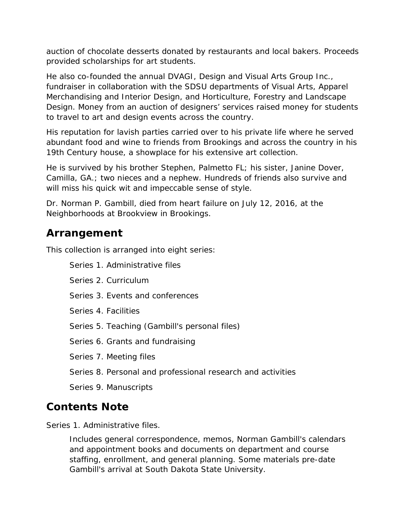auction of chocolate desserts donated by restaurants and local bakers. Proceeds provided scholarships for art students.

He also co-founded the annual DVAGI, Design and Visual Arts Group Inc., fundraiser in collaboration with the SDSU departments of Visual Arts, Apparel Merchandising and Interior Design, and Horticulture, Forestry and Landscape Design. Money from an auction of designers' services raised money for students to travel to art and design events across the country.

His reputation for lavish parties carried over to his private life where he served abundant food and wine to friends from Brookings and across the country in his 19th Century house, a showplace for his extensive art collection.

He is survived by his brother Stephen, Palmetto FL; his sister, Janine Dover, Camilla, GA.; two nieces and a nephew. Hundreds of friends also survive and will miss his quick wit and impeccable sense of style.

Dr. Norman P. Gambill, died from heart failure on July 12, 2016, at the Neighborhoods at Brookview in Brookings.

### **Arrangement**

This collection is arranged into eight series:

| Series 1. Administrative files                              |
|-------------------------------------------------------------|
| Series 2. Curriculum                                        |
| Series 3. Events and conferences                            |
| Series 4. Facilities                                        |
| Series 5. Teaching (Gambill's personal files)               |
| Series 6. Grants and fundraising                            |
| Series 7. Meeting files                                     |
| Series 8. Personal and professional research and activities |
| Series 9. Manuscripts                                       |

### **Contents Note**

*Series 1. Administrative files.* 

Includes general correspondence, memos, Norman Gambill's calendars and appointment books and documents on department and course staffing, enrollment, and general planning. Some materials pre-date Gambill's arrival at South Dakota State University.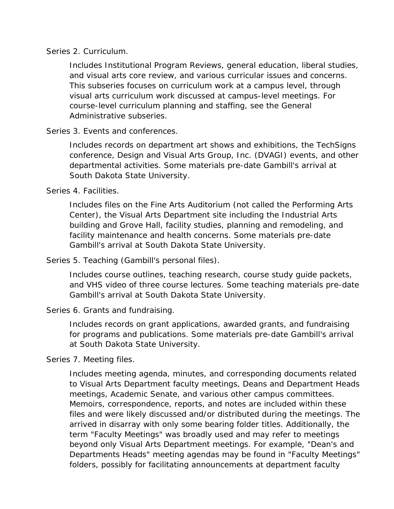#### *Series 2. Curriculum.*

Includes Institutional Program Reviews, general education, liberal studies, and visual arts core review, and various curricular issues and concerns. This subseries focuses on curriculum work at a campus level, through visual arts curriculum work discussed at campus-level meetings. For course-level curriculum planning and staffing, see the General Administrative subseries.

#### *Series 3. Events and conferences.*

Includes records on department art shows and exhibitions, the TechSigns conference, Design and Visual Arts Group, Inc. (DVAGI) events, and other departmental activities. Some materials pre-date Gambill's arrival at South Dakota State University.

#### *Series 4. Facilities.*

Includes files on the Fine Arts Auditorium (not called the Performing Arts Center), the Visual Arts Department site including the Industrial Arts building and Grove Hall, facility studies, planning and remodeling, and facility maintenance and health concerns. Some materials pre-date Gambill's arrival at South Dakota State University.

#### *Series 5. Teaching (Gambill's personal files).*

Includes course outlines, teaching research, course study guide packets, and VHS video of three course lectures. Some teaching materials pre-date Gambill's arrival at South Dakota State University.

#### *Series 6. Grants and fundraising.*

Includes records on grant applications, awarded grants, and fundraising for programs and publications. Some materials pre-date Gambill's arrival at South Dakota State University.

#### *Series 7. Meeting files.*

Includes meeting agenda, minutes, and corresponding documents related to Visual Arts Department faculty meetings, Deans and Department Heads meetings, Academic Senate, and various other campus committees. Memoirs, correspondence, reports, and notes are included within these files and were likely discussed and/or distributed during the meetings. The arrived in disarray with only some bearing folder titles. Additionally, the term "Faculty Meetings" was broadly used and may refer to meetings beyond only Visual Arts Department meetings. For example, "Dean's and Departments Heads" meeting agendas may be found in "Faculty Meetings" folders, possibly for facilitating announcements at department faculty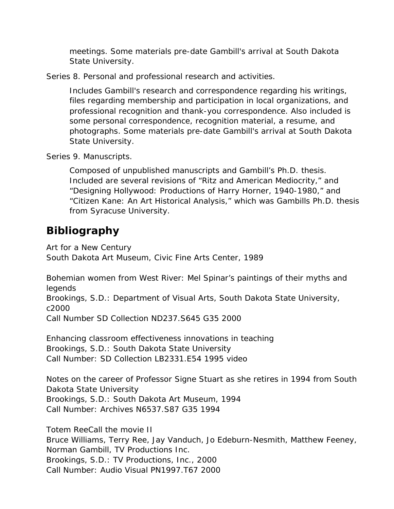meetings. Some materials pre-date Gambill's arrival at South Dakota State University.

*Series 8. Personal and professional research and activities.*

Includes Gambill's research and correspondence regarding his writings, files regarding membership and participation in local organizations, and professional recognition and thank-you correspondence. Also included is some personal correspondence, recognition material, a resume, and photographs. Some materials pre-date Gambill's arrival at South Dakota State University.

*Series 9. Manuscripts.* 

Composed of unpublished manuscripts and Gambill's Ph.D. thesis. Included are several revisions of "Ritz and American Mediocrity," and "Designing Hollywood: Productions of Harry Horner, 1940-1980," and "Citizen Kane: An Art Historical Analysis," which was Gambills Ph.D. thesis from Syracuse University.

## **Bibliography**

Art for a New Century South Dakota Art Museum, Civic Fine Arts Center, 1989

Bohemian women from West River: Mel Spinar's paintings of their myths and legends

Brookings, S.D.: Department of Visual Arts, South Dakota State University, c2000

Call Number SD Collection ND237.S645 G35 2000

Enhancing classroom effectiveness innovations in teaching Brookings, S.D.: South Dakota State University Call Number: SD Collection LB2331.E54 1995 video

Notes on the career of Professor Signe Stuart as she retires in 1994 from South Dakota State University Brookings, S.D.: South Dakota Art Museum, 1994 Call Number: Archives N6537.S87 G35 1994

Totem ReeCall the movie II Bruce Williams, Terry Ree, Jay Vanduch, Jo Edeburn-Nesmith, Matthew Feeney, Norman Gambill, TV Productions Inc. Brookings, S.D.: TV Productions, Inc., 2000 Call Number: Audio Visual PN1997.T67 2000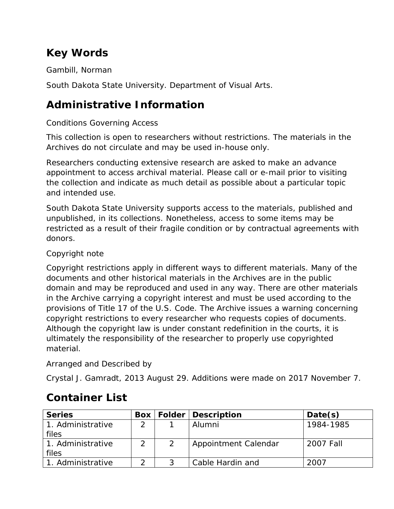# **Key Words**

Gambill, Norman

South Dakota State University. Department of Visual Arts.

## **Administrative Information**

### *Conditions Governing Access*

This collection is open to researchers without restrictions. The materials in the Archives do not circulate and may be used in-house only.

Researchers conducting extensive research are asked to make an advance appointment to access archival material. Please call or e-mail prior to visiting the collection and indicate as much detail as possible about a particular topic and intended use.

South Dakota State University supports access to the materials, published and unpublished, in its collections. Nonetheless, access to some items may be restricted as a result of their fragile condition or by contractual agreements with donors.

### *Copyright note*

Copyright restrictions apply in different ways to different materials. Many of the documents and other historical materials in the Archives are in the public domain and may be reproduced and used in any way. There are other materials in the Archive carrying a copyright interest and must be used according to the provisions of Title 17 of the U.S. Code. The Archive issues a warning concerning copyright restrictions to every researcher who requests copies of documents. Although the copyright law is under constant redefinition in the courts, it is ultimately the responsibility of the researcher to properly use copyrighted material.

*Arranged and Described by*

Crystal J. Gamradt, 2013 August 29. Additions were made on 2017 November 7.

| <b>Series</b>     | Box           | <b>Folder   Description</b> | Date(s)   |
|-------------------|---------------|-----------------------------|-----------|
| 1. Administrative |               | Alumni                      | 1984-1985 |
| files             |               |                             |           |
| 1. Administrative | $\mathcal{D}$ | Appointment Calendar        | 2007 Fall |
| files             |               |                             |           |
| 1. Administrative |               | Cable Hardin and            | 2007      |

### **Container List**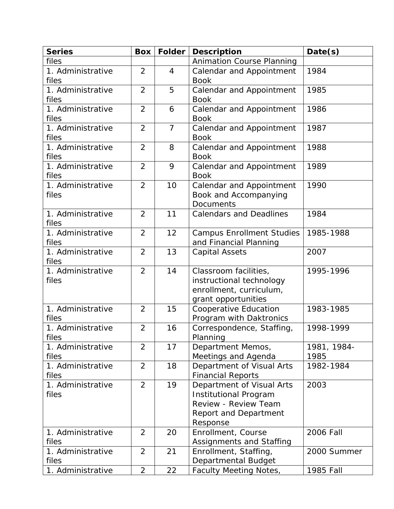| <b>Series</b>              | Box            | Folder         | <b>Description</b>                      | Date(s)     |
|----------------------------|----------------|----------------|-----------------------------------------|-------------|
| files                      |                |                | <b>Animation Course Planning</b>        |             |
| 1. Administrative          | $\overline{2}$ | 4              | Calendar and Appointment                | 1984        |
| files                      |                |                | <b>Book</b>                             |             |
| 1. Administrative          | $\overline{2}$ | 5              | Calendar and Appointment                | 1985        |
| files                      |                |                | <b>Book</b>                             |             |
| 1. Administrative          | $\overline{2}$ | 6              | Calendar and Appointment                | 1986        |
| files                      |                |                | <b>Book</b>                             |             |
| 1. Administrative          | $\overline{2}$ | $\overline{7}$ | <b>Calendar and Appointment</b>         | 1987        |
| files                      |                |                | <b>Book</b>                             |             |
| 1. Administrative<br>files | $\overline{2}$ | 8              | Calendar and Appointment<br><b>Book</b> | 1988        |
| 1. Administrative          | $\overline{2}$ | 9              |                                         | 1989        |
| files                      |                |                | Calendar and Appointment<br><b>Book</b> |             |
| 1. Administrative          | $\overline{2}$ | 10             | Calendar and Appointment                | 1990        |
| files                      |                |                | Book and Accompanying                   |             |
|                            |                |                | Documents                               |             |
| 1. Administrative          | $\overline{2}$ | 11             | <b>Calendars and Deadlines</b>          | 1984        |
| files                      |                |                |                                         |             |
| 1. Administrative          | $\overline{2}$ | 12             | <b>Campus Enrollment Studies</b>        | 1985-1988   |
| files                      |                |                | and Financial Planning                  |             |
| 1. Administrative          | $\overline{2}$ | 13             | <b>Capital Assets</b>                   | 2007        |
| files                      |                |                |                                         |             |
| 1. Administrative          | $\overline{2}$ | 14             | Classroom facilities,                   | 1995-1996   |
| files                      |                |                | instructional technology                |             |
|                            |                |                | enrollment, curriculum,                 |             |
|                            |                |                | grant opportunities                     |             |
| 1. Administrative          | $\overline{2}$ | 15             | Cooperative Education                   | 1983-1985   |
| files                      | $\overline{2}$ | 16             | Program with Daktronics                 |             |
| 1. Administrative<br>files |                |                | Correspondence, Staffing,<br>Planning   | 1998-1999   |
| 1. Administrative          | $\overline{2}$ | 17             | Department Memos,                       | 1981, 1984- |
| files                      |                |                | Meetings and Agenda                     | 1985        |
| 1. Administrative          | $\overline{2}$ | 18             | Department of Visual Arts               | 1982-1984   |
| files                      |                |                | <b>Financial Reports</b>                |             |
| 1. Administrative          | 2              | 19             | Department of Visual Arts               | 2003        |
| files                      |                |                | <b>Institutional Program</b>            |             |
|                            |                |                | Review - Review Team                    |             |
|                            |                |                | <b>Report and Department</b>            |             |
|                            |                |                | Response                                |             |
| 1. Administrative          | 2              | 20             | Enrollment, Course                      | 2006 Fall   |
| files                      |                |                | Assignments and Staffing                |             |
| 1. Administrative          | $\overline{2}$ | 21             | Enrollment, Staffing,                   | 2000 Summer |
| files                      |                |                | Departmental Budget                     |             |
| 1. Administrative          | $\overline{2}$ | 22             | <b>Faculty Meeting Notes,</b>           | 1985 Fall   |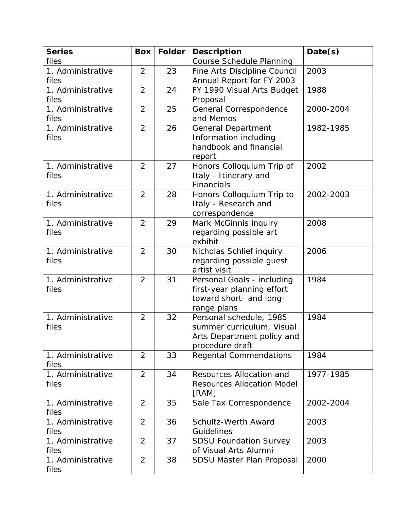| <b>Series</b>              | Box            | Folder | <b>Description</b>                                     | Date(s)   |
|----------------------------|----------------|--------|--------------------------------------------------------|-----------|
| files                      |                |        | <b>Course Schedule Planning</b>                        |           |
| 1. Administrative          | $\overline{2}$ | 23     | Fine Arts Discipline Council                           | 2003      |
| files                      |                |        | Annual Report for FY 2003                              |           |
| 1. Administrative          | $\overline{2}$ | 24     | FY 1990 Visual Arts Budget                             | 1988      |
| files                      |                |        | Proposal                                               |           |
| 1. Administrative          | $\overline{2}$ | 25     | General Correspondence                                 | 2000-2004 |
| files                      |                |        | and Memos                                              |           |
| 1. Administrative          | $\overline{2}$ | 26     | <b>General Department</b>                              | 1982-1985 |
| files                      |                |        | Information including                                  |           |
|                            |                |        | handbook and financial                                 |           |
|                            |                |        | report                                                 |           |
| 1. Administrative          | $\overline{2}$ | 27     | Honors Colloquium Trip of                              | 2002      |
| files                      |                |        | Italy - Itinerary and                                  |           |
|                            |                |        | Financials                                             |           |
| 1. Administrative          | $\overline{2}$ | 28     | Honors Colloquium Trip to                              | 2002-2003 |
| files                      |                |        | Italy - Research and                                   |           |
|                            |                |        | correspondence                                         |           |
| 1. Administrative          | $\overline{2}$ | 29     | Mark McGinnis inquiry                                  | 2008      |
| files                      |                |        | regarding possible art                                 |           |
|                            |                |        | exhibit                                                |           |
| 1. Administrative          | $\overline{2}$ | 30     | Nicholas Schlief inquiry                               | 2006      |
| files                      |                |        | regarding possible guest                               |           |
|                            |                |        | artist visit                                           |           |
| 1. Administrative          | $\overline{2}$ | 31     | Personal Goals - including                             | 1984      |
| files                      |                |        | first-year planning effort                             |           |
|                            |                |        | toward short- and long-                                |           |
|                            |                |        | range plans                                            |           |
| 1. Administrative          | 2              | 32     | Personal schedule, 1985                                | 1984      |
| files                      |                |        | summer curriculum, Visual                              |           |
|                            |                |        | Arts Department policy and                             |           |
|                            |                |        | procedure draft                                        |           |
| 1. Administrative          | $\overline{2}$ | 33     | <b>Regental Commendations</b>                          | 1984      |
| files                      |                |        |                                                        |           |
| 1. Administrative          | $\overline{2}$ | 34     | Resources Allocation and                               | 1977-1985 |
| files                      |                |        | <b>Resources Allocation Model</b>                      |           |
|                            |                |        | [RAM]                                                  |           |
| 1. Administrative          | 2              | 35     | Sale Tax Correspondence                                | 2002-2004 |
| files<br>1. Administrative | $\overline{2}$ | 36     | Schultz-Werth Award                                    | 2003      |
| files                      |                |        | Guidelines                                             |           |
| 1. Administrative          | 2              | 37     |                                                        | 2003      |
| files                      |                |        | <b>SDSU Foundation Survey</b><br>of Visual Arts Alumni |           |
| 1. Administrative          | $\overline{2}$ | 38     |                                                        | 2000      |
|                            |                |        | SDSU Master Plan Proposal                              |           |
| files                      |                |        |                                                        |           |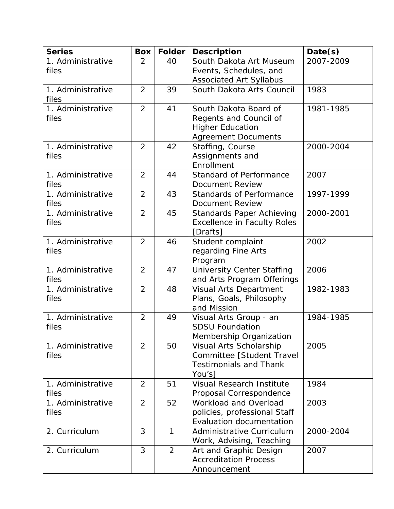| <b>Series</b>              | Box            | Folder         | <b>Description</b>                                   | Date(s)   |
|----------------------------|----------------|----------------|------------------------------------------------------|-----------|
| 1. Administrative          | $\overline{2}$ | 40             | South Dakota Art Museum                              | 2007-2009 |
| files                      |                |                | Events, Schedules, and                               |           |
|                            |                |                | <b>Associated Art Syllabus</b>                       |           |
| 1. Administrative<br>files | $\overline{2}$ | 39             | South Dakota Arts Council                            | 1983      |
| 1. Administrative          | 2              | 41             | South Dakota Board of                                | 1981-1985 |
| files                      |                |                | Regents and Council of                               |           |
|                            |                |                | <b>Higher Education</b>                              |           |
|                            |                |                | <b>Agreement Documents</b>                           |           |
| 1. Administrative          | $\overline{2}$ | 42             | Staffing, Course                                     | 2000-2004 |
| files                      |                |                | Assignments and                                      |           |
|                            |                |                | Enrollment                                           |           |
| 1. Administrative          | $\overline{2}$ | 44             | <b>Standard of Performance</b>                       | 2007      |
| files                      |                |                | Document Review                                      |           |
| 1. Administrative          | $\overline{2}$ | 43             | <b>Standards of Performance</b>                      | 1997-1999 |
| files                      |                |                | Document Review                                      |           |
| 1. Administrative          | $\overline{2}$ | 45             | <b>Standards Paper Achieving</b>                     | 2000-2001 |
| files                      |                |                | <b>Excellence in Faculty Roles</b>                   |           |
|                            |                |                | [Drafts]                                             |           |
| 1. Administrative          | $\overline{2}$ | 46             | Student complaint                                    | 2002      |
| files                      |                |                | regarding Fine Arts                                  |           |
|                            |                |                | Program                                              |           |
| 1. Administrative          | $\overline{2}$ | 47             | <b>University Center Staffing</b>                    | 2006      |
| files                      |                |                | and Arts Program Offerings                           |           |
| 1. Administrative          | $\overline{2}$ | 48             | Visual Arts Department                               | 1982-1983 |
| files                      |                |                | Plans, Goals, Philosophy                             |           |
|                            |                |                | and Mission                                          |           |
| 1. Administrative          | $\overline{2}$ | 49             | Visual Arts Group - an                               | 1984-1985 |
| files                      |                |                | <b>SDSU Foundation</b>                               |           |
| 1. Administrative          | 2              |                | Membership Organization                              | 2005      |
| files                      |                | 50             | Visual Arts Scholarship<br>Committee [Student Travel |           |
|                            |                |                | <b>Testimonials and Thank</b>                        |           |
|                            |                |                | You's]                                               |           |
| 1. Administrative          | $\overline{2}$ | 51             | <b>Visual Research Institute</b>                     | 1984      |
| files                      |                |                | Proposal Correspondence                              |           |
| 1. Administrative          | 2              | 52             | Workload and Overload                                | 2003      |
| files                      |                |                | policies, professional Staff                         |           |
|                            |                |                | Evaluation documentation                             |           |
| 2. Curriculum              | 3              | $\mathbf{1}$   | Administrative Curriculum                            | 2000-2004 |
|                            |                |                | Work, Advising, Teaching                             |           |
| 2. Curriculum              | 3              | $\overline{2}$ | Art and Graphic Design                               | 2007      |
|                            |                |                | <b>Accreditation Process</b>                         |           |
|                            |                |                | Announcement                                         |           |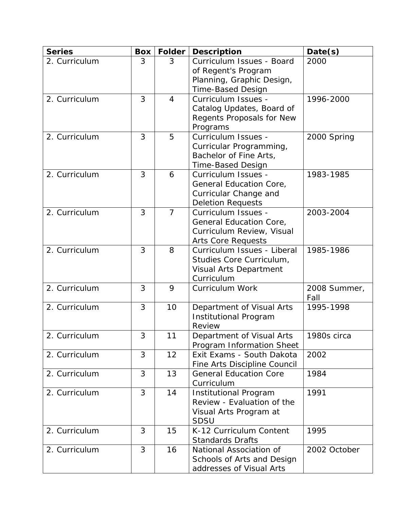| <b>Series</b> | Box | Folder         | <b>Description</b>                                                                                        | Date(s)              |
|---------------|-----|----------------|-----------------------------------------------------------------------------------------------------------|----------------------|
| 2. Curriculum | 3   | 3              | Curriculum Issues - Board<br>of Regent's Program<br>Planning, Graphic Design,<br><b>Time-Based Design</b> | 2000                 |
| 2. Curriculum | 3   | $\overline{4}$ | Curriculum Issues -<br>Catalog Updates, Board of<br>Regents Proposals for New<br>Programs                 | 1996-2000            |
| 2. Curriculum | 3   | 5              | Curriculum Issues -<br>Curricular Programming,<br>Bachelor of Fine Arts,<br><b>Time-Based Design</b>      | 2000 Spring          |
| 2. Curriculum | 3   | 6              | Curriculum Issues -<br>General Education Core,<br>Curricular Change and<br><b>Deletion Requests</b>       | 1983-1985            |
| 2. Curriculum | 3   | $\overline{7}$ | Curriculum Issues -<br>General Education Core,<br>Curriculum Review, Visual<br><b>Arts Core Requests</b>  | 2003-2004            |
| 2. Curriculum | 3   | 8              | Curriculum Issues - Liberal<br>Studies Core Curriculum,<br>Visual Arts Department<br>Curriculum           | 1985-1986            |
| 2. Curriculum | 3   | 9              | Curriculum Work                                                                                           | 2008 Summer,<br>Fall |
| 2. Curriculum | 3   | 10             | Department of Visual Arts<br>Institutional Program<br>Review                                              | 1995-1998            |
| 2. Curriculum | 3   | 11             | Department of Visual Arts<br>Program Information Sheet                                                    | 1980s circa          |
| 2. Curriculum | 3   | 12             | Exit Exams - South Dakota<br>Fine Arts Discipline Council                                                 | 2002                 |
| 2. Curriculum | 3   | 13             | <b>General Education Core</b><br>Curriculum                                                               | 1984                 |
| 2. Curriculum | 3   | 14             | <b>Institutional Program</b><br>Review - Evaluation of the<br>Visual Arts Program at<br><b>SDSU</b>       | 1991                 |
| 2. Curriculum | 3   | 15             | K-12 Curriculum Content<br><b>Standards Drafts</b>                                                        | 1995                 |
| 2. Curriculum | 3   | 16             | National Association of<br>Schools of Arts and Design<br>addresses of Visual Arts                         | 2002 October         |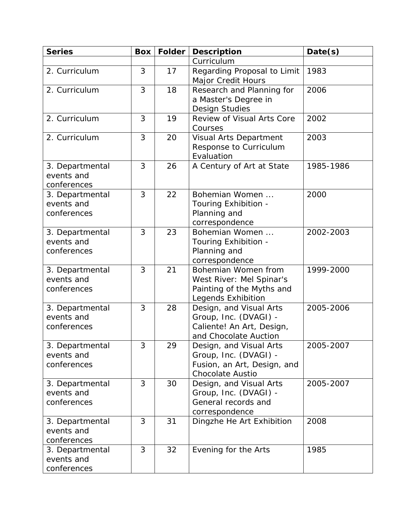| <b>Series</b>                 | <b>Box</b> | Folder | <b>Description</b>                                 | Date(s)   |
|-------------------------------|------------|--------|----------------------------------------------------|-----------|
|                               |            |        | Curriculum                                         |           |
| 2. Curriculum                 | 3          | 17     | Regarding Proposal to Limit                        | 1983      |
|                               |            |        | <b>Major Credit Hours</b>                          |           |
| 2. Curriculum                 | 3          | 18     | Research and Planning for                          | 2006      |
|                               |            |        | a Master's Degree in                               |           |
|                               |            |        | Design Studies                                     |           |
| 2. Curriculum                 | 3          | 19     | Review of Visual Arts Core                         | 2002      |
|                               |            |        | Courses                                            |           |
| 2. Curriculum                 | 3          | 20     | Visual Arts Department                             | 2003      |
|                               |            |        | Response to Curriculum                             |           |
|                               | 3          |        | Evaluation                                         |           |
| 3. Departmental<br>events and |            | 26     | A Century of Art at State                          | 1985-1986 |
| conferences                   |            |        |                                                    |           |
| 3. Departmental               | 3          | 22     | Bohemian Women                                     | 2000      |
| events and                    |            |        | Touring Exhibition -                               |           |
| conferences                   |            |        | Planning and                                       |           |
|                               |            |        | correspondence                                     |           |
| 3. Departmental               | 3          | 23     | Bohemian Women                                     | 2002-2003 |
| events and                    |            |        | Touring Exhibition -                               |           |
| conferences                   |            |        | Planning and                                       |           |
|                               |            |        | correspondence                                     |           |
| 3. Departmental               | 3          | 21     | Bohemian Women from                                | 1999-2000 |
| events and                    |            |        | West River: Mel Spinar's                           |           |
| conferences                   |            |        | Painting of the Myths and                          |           |
|                               |            |        | Legends Exhibition                                 |           |
| 3. Departmental               | 3          | 28     | Design, and Visual Arts                            | 2005-2006 |
| events and                    |            |        | Group, Inc. (DVAGI) -                              |           |
| conferences                   |            |        | Caliente! An Art, Design,<br>and Chocolate Auction |           |
| 3. Departmental               | 3          | 29     | Design, and Visual Arts                            | 2005-2007 |
| events and                    |            |        | Group, Inc. (DVAGI) -                              |           |
| conferences                   |            |        | Fusion, an Art, Design, and                        |           |
|                               |            |        | <b>Chocolate Austio</b>                            |           |
| 3. Departmental               | 3          | 30     | Design, and Visual Arts                            | 2005-2007 |
| events and                    |            |        | Group, Inc. (DVAGI) -                              |           |
| conferences                   |            |        | General records and                                |           |
|                               |            |        | correspondence                                     |           |
| 3. Departmental               | 3          | 31     | Dingzhe He Art Exhibition                          | 2008      |
| events and                    |            |        |                                                    |           |
| conferences                   |            |        |                                                    |           |
| 3. Departmental               | 3          | 32     | Evening for the Arts                               | 1985      |
| events and                    |            |        |                                                    |           |
| conferences                   |            |        |                                                    |           |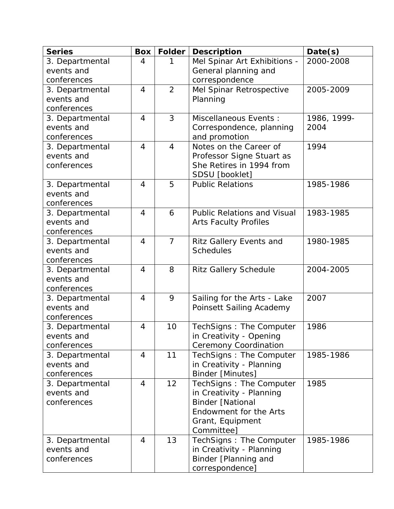| Mel Spinar Art Exhibitions -<br>3. Departmental<br>4<br>events and<br>General planning and<br>correspondence<br>conferences<br>$\overline{2}$<br>Mel Spinar Retrospective<br>$\overline{4}$<br>2005-2009<br>3. Departmental<br>Planning<br>events and<br>conferences<br>3<br>3. Departmental<br>$\overline{4}$<br>Miscellaneous Events :<br>1986, 1999-<br>events and<br>2004<br>Correspondence, planning<br>and promotion<br>conferences<br>$\overline{4}$<br>Notes on the Career of<br>1994<br>$\overline{4}$<br>3. Departmental<br>events and<br>Professor Signe Stuart as<br>She Retires in 1994 from<br>conferences<br>SDSU [booklet]<br>5<br><b>Public Relations</b><br>1985-1986<br>3. Departmental<br>$\overline{4}$<br>events and<br>conferences<br>6<br>1983-1985<br>$\overline{4}$<br><b>Public Relations and Visual</b><br>3. Departmental<br>events and<br><b>Arts Faculty Profiles</b><br>conferences<br>$\overline{7}$<br>$\overline{4}$<br>1980-1985<br>3. Departmental<br><b>Ritz Gallery Events and</b><br>events and<br><b>Schedules</b><br>conferences<br>8<br>2004-2005<br>3. Departmental<br>$\overline{4}$<br><b>Ritz Gallery Schedule</b><br>events and<br>conferences<br>9<br>2007<br>Sailing for the Arts - Lake<br>3. Departmental<br>4<br>events and<br>Poinsett Sailing Academy<br>conferences<br>10<br>1986<br>3. Departmental<br>TechSigns: The Computer<br>$\overline{4}$<br>in Creativity - Opening<br>events and<br><b>Ceremony Coordination</b><br>conferences<br>11<br>TechSigns: The Computer<br>$\overline{4}$<br>1985-1986<br>3. Departmental<br>in Creativity - Planning<br>events and<br><b>Binder [Minutes]</b><br>conferences<br>12<br>TechSigns: The Computer<br>1985<br>3. Departmental<br>$\overline{4}$<br>events and<br>in Creativity - Planning<br><b>Binder [National</b><br>conferences<br>Endowment for the Arts<br>Grant, Equipment<br>Committee]<br>13<br>TechSigns: The Computer<br>1985-1986<br>3. Departmental<br>$\overline{4}$<br>in Creativity - Planning<br>events and<br>Binder [Planning and<br>conferences | <b>Series</b> | <b>Box</b> | Folder | <b>Description</b> | Date(s)   |
|----------------------------------------------------------------------------------------------------------------------------------------------------------------------------------------------------------------------------------------------------------------------------------------------------------------------------------------------------------------------------------------------------------------------------------------------------------------------------------------------------------------------------------------------------------------------------------------------------------------------------------------------------------------------------------------------------------------------------------------------------------------------------------------------------------------------------------------------------------------------------------------------------------------------------------------------------------------------------------------------------------------------------------------------------------------------------------------------------------------------------------------------------------------------------------------------------------------------------------------------------------------------------------------------------------------------------------------------------------------------------------------------------------------------------------------------------------------------------------------------------------------------------------------------------------------------------------------------------------------------------------------------------------------------------------------------------------------------------------------------------------------------------------------------------------------------------------------------------------------------------------------------------------------------------------------------------------------------------------------------------------------------------------------------------------------------------|---------------|------------|--------|--------------------|-----------|
|                                                                                                                                                                                                                                                                                                                                                                                                                                                                                                                                                                                                                                                                                                                                                                                                                                                                                                                                                                                                                                                                                                                                                                                                                                                                                                                                                                                                                                                                                                                                                                                                                                                                                                                                                                                                                                                                                                                                                                                                                                                                            |               |            |        |                    | 2000-2008 |
|                                                                                                                                                                                                                                                                                                                                                                                                                                                                                                                                                                                                                                                                                                                                                                                                                                                                                                                                                                                                                                                                                                                                                                                                                                                                                                                                                                                                                                                                                                                                                                                                                                                                                                                                                                                                                                                                                                                                                                                                                                                                            |               |            |        |                    |           |
|                                                                                                                                                                                                                                                                                                                                                                                                                                                                                                                                                                                                                                                                                                                                                                                                                                                                                                                                                                                                                                                                                                                                                                                                                                                                                                                                                                                                                                                                                                                                                                                                                                                                                                                                                                                                                                                                                                                                                                                                                                                                            |               |            |        |                    |           |
|                                                                                                                                                                                                                                                                                                                                                                                                                                                                                                                                                                                                                                                                                                                                                                                                                                                                                                                                                                                                                                                                                                                                                                                                                                                                                                                                                                                                                                                                                                                                                                                                                                                                                                                                                                                                                                                                                                                                                                                                                                                                            |               |            |        |                    |           |
|                                                                                                                                                                                                                                                                                                                                                                                                                                                                                                                                                                                                                                                                                                                                                                                                                                                                                                                                                                                                                                                                                                                                                                                                                                                                                                                                                                                                                                                                                                                                                                                                                                                                                                                                                                                                                                                                                                                                                                                                                                                                            |               |            |        |                    |           |
|                                                                                                                                                                                                                                                                                                                                                                                                                                                                                                                                                                                                                                                                                                                                                                                                                                                                                                                                                                                                                                                                                                                                                                                                                                                                                                                                                                                                                                                                                                                                                                                                                                                                                                                                                                                                                                                                                                                                                                                                                                                                            |               |            |        |                    |           |
|                                                                                                                                                                                                                                                                                                                                                                                                                                                                                                                                                                                                                                                                                                                                                                                                                                                                                                                                                                                                                                                                                                                                                                                                                                                                                                                                                                                                                                                                                                                                                                                                                                                                                                                                                                                                                                                                                                                                                                                                                                                                            |               |            |        |                    |           |
|                                                                                                                                                                                                                                                                                                                                                                                                                                                                                                                                                                                                                                                                                                                                                                                                                                                                                                                                                                                                                                                                                                                                                                                                                                                                                                                                                                                                                                                                                                                                                                                                                                                                                                                                                                                                                                                                                                                                                                                                                                                                            |               |            |        |                    |           |
|                                                                                                                                                                                                                                                                                                                                                                                                                                                                                                                                                                                                                                                                                                                                                                                                                                                                                                                                                                                                                                                                                                                                                                                                                                                                                                                                                                                                                                                                                                                                                                                                                                                                                                                                                                                                                                                                                                                                                                                                                                                                            |               |            |        |                    |           |
|                                                                                                                                                                                                                                                                                                                                                                                                                                                                                                                                                                                                                                                                                                                                                                                                                                                                                                                                                                                                                                                                                                                                                                                                                                                                                                                                                                                                                                                                                                                                                                                                                                                                                                                                                                                                                                                                                                                                                                                                                                                                            |               |            |        |                    |           |
|                                                                                                                                                                                                                                                                                                                                                                                                                                                                                                                                                                                                                                                                                                                                                                                                                                                                                                                                                                                                                                                                                                                                                                                                                                                                                                                                                                                                                                                                                                                                                                                                                                                                                                                                                                                                                                                                                                                                                                                                                                                                            |               |            |        |                    |           |
|                                                                                                                                                                                                                                                                                                                                                                                                                                                                                                                                                                                                                                                                                                                                                                                                                                                                                                                                                                                                                                                                                                                                                                                                                                                                                                                                                                                                                                                                                                                                                                                                                                                                                                                                                                                                                                                                                                                                                                                                                                                                            |               |            |        |                    |           |
|                                                                                                                                                                                                                                                                                                                                                                                                                                                                                                                                                                                                                                                                                                                                                                                                                                                                                                                                                                                                                                                                                                                                                                                                                                                                                                                                                                                                                                                                                                                                                                                                                                                                                                                                                                                                                                                                                                                                                                                                                                                                            |               |            |        |                    |           |
|                                                                                                                                                                                                                                                                                                                                                                                                                                                                                                                                                                                                                                                                                                                                                                                                                                                                                                                                                                                                                                                                                                                                                                                                                                                                                                                                                                                                                                                                                                                                                                                                                                                                                                                                                                                                                                                                                                                                                                                                                                                                            |               |            |        |                    |           |
|                                                                                                                                                                                                                                                                                                                                                                                                                                                                                                                                                                                                                                                                                                                                                                                                                                                                                                                                                                                                                                                                                                                                                                                                                                                                                                                                                                                                                                                                                                                                                                                                                                                                                                                                                                                                                                                                                                                                                                                                                                                                            |               |            |        |                    |           |
|                                                                                                                                                                                                                                                                                                                                                                                                                                                                                                                                                                                                                                                                                                                                                                                                                                                                                                                                                                                                                                                                                                                                                                                                                                                                                                                                                                                                                                                                                                                                                                                                                                                                                                                                                                                                                                                                                                                                                                                                                                                                            |               |            |        |                    |           |
|                                                                                                                                                                                                                                                                                                                                                                                                                                                                                                                                                                                                                                                                                                                                                                                                                                                                                                                                                                                                                                                                                                                                                                                                                                                                                                                                                                                                                                                                                                                                                                                                                                                                                                                                                                                                                                                                                                                                                                                                                                                                            |               |            |        |                    |           |
|                                                                                                                                                                                                                                                                                                                                                                                                                                                                                                                                                                                                                                                                                                                                                                                                                                                                                                                                                                                                                                                                                                                                                                                                                                                                                                                                                                                                                                                                                                                                                                                                                                                                                                                                                                                                                                                                                                                                                                                                                                                                            |               |            |        |                    |           |
|                                                                                                                                                                                                                                                                                                                                                                                                                                                                                                                                                                                                                                                                                                                                                                                                                                                                                                                                                                                                                                                                                                                                                                                                                                                                                                                                                                                                                                                                                                                                                                                                                                                                                                                                                                                                                                                                                                                                                                                                                                                                            |               |            |        |                    |           |
|                                                                                                                                                                                                                                                                                                                                                                                                                                                                                                                                                                                                                                                                                                                                                                                                                                                                                                                                                                                                                                                                                                                                                                                                                                                                                                                                                                                                                                                                                                                                                                                                                                                                                                                                                                                                                                                                                                                                                                                                                                                                            |               |            |        |                    |           |
|                                                                                                                                                                                                                                                                                                                                                                                                                                                                                                                                                                                                                                                                                                                                                                                                                                                                                                                                                                                                                                                                                                                                                                                                                                                                                                                                                                                                                                                                                                                                                                                                                                                                                                                                                                                                                                                                                                                                                                                                                                                                            |               |            |        |                    |           |
|                                                                                                                                                                                                                                                                                                                                                                                                                                                                                                                                                                                                                                                                                                                                                                                                                                                                                                                                                                                                                                                                                                                                                                                                                                                                                                                                                                                                                                                                                                                                                                                                                                                                                                                                                                                                                                                                                                                                                                                                                                                                            |               |            |        |                    |           |
|                                                                                                                                                                                                                                                                                                                                                                                                                                                                                                                                                                                                                                                                                                                                                                                                                                                                                                                                                                                                                                                                                                                                                                                                                                                                                                                                                                                                                                                                                                                                                                                                                                                                                                                                                                                                                                                                                                                                                                                                                                                                            |               |            |        |                    |           |
|                                                                                                                                                                                                                                                                                                                                                                                                                                                                                                                                                                                                                                                                                                                                                                                                                                                                                                                                                                                                                                                                                                                                                                                                                                                                                                                                                                                                                                                                                                                                                                                                                                                                                                                                                                                                                                                                                                                                                                                                                                                                            |               |            |        |                    |           |
|                                                                                                                                                                                                                                                                                                                                                                                                                                                                                                                                                                                                                                                                                                                                                                                                                                                                                                                                                                                                                                                                                                                                                                                                                                                                                                                                                                                                                                                                                                                                                                                                                                                                                                                                                                                                                                                                                                                                                                                                                                                                            |               |            |        |                    |           |
|                                                                                                                                                                                                                                                                                                                                                                                                                                                                                                                                                                                                                                                                                                                                                                                                                                                                                                                                                                                                                                                                                                                                                                                                                                                                                                                                                                                                                                                                                                                                                                                                                                                                                                                                                                                                                                                                                                                                                                                                                                                                            |               |            |        |                    |           |
|                                                                                                                                                                                                                                                                                                                                                                                                                                                                                                                                                                                                                                                                                                                                                                                                                                                                                                                                                                                                                                                                                                                                                                                                                                                                                                                                                                                                                                                                                                                                                                                                                                                                                                                                                                                                                                                                                                                                                                                                                                                                            |               |            |        |                    |           |
|                                                                                                                                                                                                                                                                                                                                                                                                                                                                                                                                                                                                                                                                                                                                                                                                                                                                                                                                                                                                                                                                                                                                                                                                                                                                                                                                                                                                                                                                                                                                                                                                                                                                                                                                                                                                                                                                                                                                                                                                                                                                            |               |            |        |                    |           |
|                                                                                                                                                                                                                                                                                                                                                                                                                                                                                                                                                                                                                                                                                                                                                                                                                                                                                                                                                                                                                                                                                                                                                                                                                                                                                                                                                                                                                                                                                                                                                                                                                                                                                                                                                                                                                                                                                                                                                                                                                                                                            |               |            |        |                    |           |
|                                                                                                                                                                                                                                                                                                                                                                                                                                                                                                                                                                                                                                                                                                                                                                                                                                                                                                                                                                                                                                                                                                                                                                                                                                                                                                                                                                                                                                                                                                                                                                                                                                                                                                                                                                                                                                                                                                                                                                                                                                                                            |               |            |        |                    |           |
|                                                                                                                                                                                                                                                                                                                                                                                                                                                                                                                                                                                                                                                                                                                                                                                                                                                                                                                                                                                                                                                                                                                                                                                                                                                                                                                                                                                                                                                                                                                                                                                                                                                                                                                                                                                                                                                                                                                                                                                                                                                                            |               |            |        |                    |           |
|                                                                                                                                                                                                                                                                                                                                                                                                                                                                                                                                                                                                                                                                                                                                                                                                                                                                                                                                                                                                                                                                                                                                                                                                                                                                                                                                                                                                                                                                                                                                                                                                                                                                                                                                                                                                                                                                                                                                                                                                                                                                            |               |            |        |                    |           |
|                                                                                                                                                                                                                                                                                                                                                                                                                                                                                                                                                                                                                                                                                                                                                                                                                                                                                                                                                                                                                                                                                                                                                                                                                                                                                                                                                                                                                                                                                                                                                                                                                                                                                                                                                                                                                                                                                                                                                                                                                                                                            |               |            |        |                    |           |
|                                                                                                                                                                                                                                                                                                                                                                                                                                                                                                                                                                                                                                                                                                                                                                                                                                                                                                                                                                                                                                                                                                                                                                                                                                                                                                                                                                                                                                                                                                                                                                                                                                                                                                                                                                                                                                                                                                                                                                                                                                                                            |               |            |        |                    |           |
|                                                                                                                                                                                                                                                                                                                                                                                                                                                                                                                                                                                                                                                                                                                                                                                                                                                                                                                                                                                                                                                                                                                                                                                                                                                                                                                                                                                                                                                                                                                                                                                                                                                                                                                                                                                                                                                                                                                                                                                                                                                                            |               |            |        |                    |           |
|                                                                                                                                                                                                                                                                                                                                                                                                                                                                                                                                                                                                                                                                                                                                                                                                                                                                                                                                                                                                                                                                                                                                                                                                                                                                                                                                                                                                                                                                                                                                                                                                                                                                                                                                                                                                                                                                                                                                                                                                                                                                            |               |            |        |                    |           |
|                                                                                                                                                                                                                                                                                                                                                                                                                                                                                                                                                                                                                                                                                                                                                                                                                                                                                                                                                                                                                                                                                                                                                                                                                                                                                                                                                                                                                                                                                                                                                                                                                                                                                                                                                                                                                                                                                                                                                                                                                                                                            |               |            |        |                    |           |
|                                                                                                                                                                                                                                                                                                                                                                                                                                                                                                                                                                                                                                                                                                                                                                                                                                                                                                                                                                                                                                                                                                                                                                                                                                                                                                                                                                                                                                                                                                                                                                                                                                                                                                                                                                                                                                                                                                                                                                                                                                                                            |               |            |        |                    |           |
|                                                                                                                                                                                                                                                                                                                                                                                                                                                                                                                                                                                                                                                                                                                                                                                                                                                                                                                                                                                                                                                                                                                                                                                                                                                                                                                                                                                                                                                                                                                                                                                                                                                                                                                                                                                                                                                                                                                                                                                                                                                                            |               |            |        |                    |           |
|                                                                                                                                                                                                                                                                                                                                                                                                                                                                                                                                                                                                                                                                                                                                                                                                                                                                                                                                                                                                                                                                                                                                                                                                                                                                                                                                                                                                                                                                                                                                                                                                                                                                                                                                                                                                                                                                                                                                                                                                                                                                            |               |            |        |                    |           |
|                                                                                                                                                                                                                                                                                                                                                                                                                                                                                                                                                                                                                                                                                                                                                                                                                                                                                                                                                                                                                                                                                                                                                                                                                                                                                                                                                                                                                                                                                                                                                                                                                                                                                                                                                                                                                                                                                                                                                                                                                                                                            |               |            |        |                    |           |
|                                                                                                                                                                                                                                                                                                                                                                                                                                                                                                                                                                                                                                                                                                                                                                                                                                                                                                                                                                                                                                                                                                                                                                                                                                                                                                                                                                                                                                                                                                                                                                                                                                                                                                                                                                                                                                                                                                                                                                                                                                                                            |               |            |        |                    |           |
|                                                                                                                                                                                                                                                                                                                                                                                                                                                                                                                                                                                                                                                                                                                                                                                                                                                                                                                                                                                                                                                                                                                                                                                                                                                                                                                                                                                                                                                                                                                                                                                                                                                                                                                                                                                                                                                                                                                                                                                                                                                                            |               |            |        | correspondence]    |           |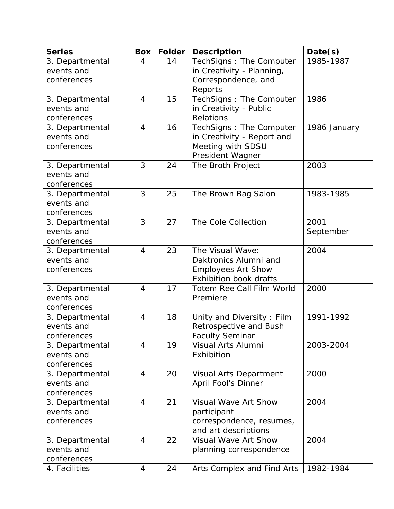| <b>Series</b>                 | <b>Box</b>     | Folder | <b>Description</b>                               | Date(s)      |
|-------------------------------|----------------|--------|--------------------------------------------------|--------------|
| 3. Departmental               | 4              | 14     | TechSigns: The Computer                          | 1985-1987    |
| events and                    |                |        | in Creativity - Planning,                        |              |
| conferences                   |                |        | Correspondence, and                              |              |
|                               |                |        | Reports                                          |              |
| 3. Departmental               | $\overline{4}$ | 15     | TechSigns: The Computer                          | 1986         |
| events and                    |                |        | in Creativity - Public                           |              |
| conferences                   |                |        | Relations                                        |              |
| 3. Departmental               | $\overline{4}$ | 16     | TechSigns: The Computer                          | 1986 January |
| events and                    |                |        | in Creativity - Report and                       |              |
| conferences                   |                |        | Meeting with SDSU                                |              |
|                               |                |        | President Wagner                                 |              |
| 3. Departmental               | 3              | 24     | The Broth Project                                | 2003         |
| events and                    |                |        |                                                  |              |
| conferences                   |                |        |                                                  |              |
| 3. Departmental               | 3              | 25     | The Brown Bag Salon                              | 1983-1985    |
| events and                    |                |        |                                                  |              |
| conferences                   |                |        |                                                  |              |
| 3. Departmental               | 3              | 27     | The Cole Collection                              | 2001         |
| events and                    |                |        |                                                  | September    |
| conferences                   |                |        |                                                  |              |
| 3. Departmental               | $\overline{4}$ | 23     | The Visual Wave:                                 | 2004         |
| events and                    |                |        | Daktronics Alumni and                            |              |
| conferences                   |                |        | <b>Employees Art Show</b>                        |              |
|                               |                |        | Exhibition book drafts                           |              |
| 3. Departmental               | $\overline{4}$ | 17     | Totem Ree Call Film World                        | 2000         |
| events and                    |                |        | Premiere                                         |              |
| conferences                   |                |        |                                                  |              |
| 3. Departmental               | $\overline{4}$ | 18     | Unity and Diversity: Film                        | 1991-1992    |
| events and                    |                |        | Retrospective and Bush                           |              |
| conferences                   |                |        | <b>Faculty Seminar</b>                           |              |
| 3. Departmental               | 4              | 19     | <b>Visual Arts Alumni</b>                        | 2003-2004    |
| events and                    |                |        | Exhibition                                       |              |
| conferences                   |                |        |                                                  |              |
| 3. Departmental<br>events and | $\overline{4}$ | 20     | Visual Arts Department                           | 2000         |
| conferences                   |                |        | April Fool's Dinner                              |              |
|                               | $\overline{4}$ | 21     | <b>Visual Wave Art Show</b>                      | 2004         |
| 3. Departmental<br>events and |                |        | participant                                      |              |
| conferences                   |                |        |                                                  |              |
|                               |                |        | correspondence, resumes,<br>and art descriptions |              |
|                               | $\overline{4}$ | 22     | <b>Visual Wave Art Show</b>                      | 2004         |
| 3. Departmental<br>events and |                |        | planning correspondence                          |              |
| conferences                   |                |        |                                                  |              |
| 4. Facilities                 |                | 24     |                                                  | 1982-1984    |
|                               | 4              |        | Arts Complex and Find Arts                       |              |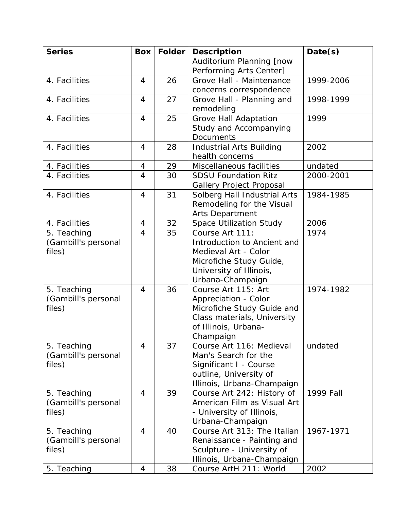| <b>Series</b>       | <b>Box</b>     | <b>Folder</b> | <b>Description</b>              | Date(s)   |
|---------------------|----------------|---------------|---------------------------------|-----------|
|                     |                |               | Auditorium Planning [now        |           |
|                     |                |               | Performing Arts Center]         |           |
| 4. Facilities       | 4              | 26            | Grove Hall - Maintenance        | 1999-2006 |
|                     |                |               | concerns correspondence         |           |
| 4. Facilities       | 4              | 27            | Grove Hall - Planning and       | 1998-1999 |
|                     |                |               | remodeling                      |           |
| 4. Facilities       | $\overline{4}$ | 25            | <b>Grove Hall Adaptation</b>    | 1999      |
|                     |                |               | Study and Accompanying          |           |
|                     |                |               | <b>Documents</b>                |           |
| 4. Facilities       | 4              | 28            | <b>Industrial Arts Building</b> | 2002      |
|                     |                |               | health concerns                 |           |
| 4. Facilities       | $\overline{4}$ | 29            | Miscellaneous facilities        | undated   |
| 4. Facilities       | $\overline{4}$ | 30            | <b>SDSU Foundation Ritz</b>     | 2000-2001 |
|                     |                |               | <b>Gallery Project Proposal</b> |           |
| 4. Facilities       | $\overline{4}$ | 31            | Solberg Hall Industrial Arts    | 1984-1985 |
|                     |                |               | Remodeling for the Visual       |           |
|                     |                |               | Arts Department                 |           |
| 4. Facilities       | 4              | 32            | <b>Space Utilization Study</b>  | 2006      |
| 5. Teaching         | 4              | 35            | Course Art 111:                 | 1974      |
| (Gambill's personal |                |               | Introduction to Ancient and     |           |
| files)              |                |               | Medieval Art - Color            |           |
|                     |                |               | Microfiche Study Guide,         |           |
|                     |                |               | University of Illinois,         |           |
|                     |                |               | Urbana-Champaign                |           |
| 5. Teaching         | 4              | 36            | Course Art 115: Art             | 1974-1982 |
| (Gambill's personal |                |               | Appreciation - Color            |           |
| files)              |                |               | Microfiche Study Guide and      |           |
|                     |                |               | Class materials, University     |           |
|                     |                |               | of Illinois, Urbana-            |           |
|                     |                |               | Champaign                       |           |
| 5. Teaching         | $\overline{4}$ | 37            | Course Art 116: Medieval        | undated   |
| (Gambill's personal |                |               | Man's Search for the            |           |
| files)              |                |               | Significant I - Course          |           |
|                     |                |               | outline, University of          |           |
|                     |                |               | Illinois, Urbana-Champaign      |           |
| 5. Teaching         | 4              | 39            | Course Art 242: History of      | 1999 Fall |
| (Gambill's personal |                |               | American Film as Visual Art     |           |
| files)              |                |               | - University of Illinois,       |           |
|                     |                |               | Urbana-Champaign                |           |
| 5. Teaching         | $\overline{4}$ | 40            | Course Art 313: The Italian     | 1967-1971 |
| (Gambill's personal |                |               | Renaissance - Painting and      |           |
| files)              |                |               | Sculpture - University of       |           |
|                     |                |               | Illinois, Urbana-Champaign      |           |
| 5. Teaching         | 4              | 38            | Course ArtH 211: World          | 2002      |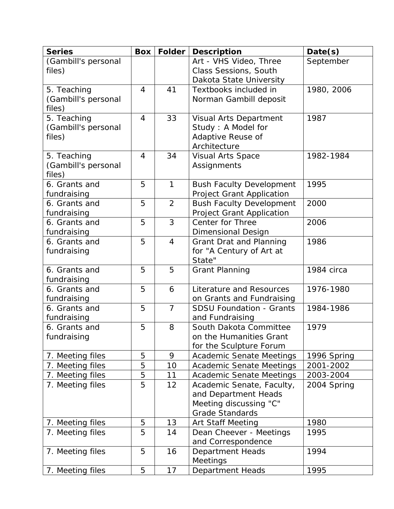| <b>Series</b>                | <b>Box</b>     | Folder         | <b>Description</b>               | Date(s)     |
|------------------------------|----------------|----------------|----------------------------------|-------------|
| (Gambill's personal          |                |                | Art - VHS Video, Three           | September   |
| files)                       |                |                | Class Sessions, South            |             |
|                              |                |                | Dakota State University          |             |
| 5. Teaching                  | $\overline{4}$ | 41             | Textbooks included in            | 1980, 2006  |
| (Gambill's personal          |                |                | Norman Gambill deposit           |             |
| files)                       |                |                |                                  |             |
| 5. Teaching                  | $\overline{4}$ | 33             | Visual Arts Department           | 1987        |
| (Gambill's personal          |                |                | Study: A Model for               |             |
| files)                       |                |                | Adaptive Reuse of                |             |
|                              |                |                | Architecture                     |             |
| 5. Teaching                  | 4              | 34             | <b>Visual Arts Space</b>         | 1982-1984   |
| (Gambill's personal          |                |                | Assignments                      |             |
| files)                       |                |                |                                  |             |
| 6. Grants and                | 5              | $\mathbf{1}$   | <b>Bush Faculty Development</b>  | 1995        |
| fundraising                  |                |                | <b>Project Grant Application</b> |             |
| 6. Grants and                | 5              | 2              | <b>Bush Faculty Development</b>  | 2000        |
| fundraising                  |                |                | <b>Project Grant Application</b> |             |
| 6. Grants and                | 5              | 3              | <b>Center for Three</b>          | 2006        |
| fundraising                  |                |                | <b>Dimensional Design</b>        |             |
| 6. Grants and                | 5              | $\overline{4}$ | Grant Drat and Planning          | 1986        |
| fundraising                  |                |                | for "A Century of Art at         |             |
|                              |                |                | State"                           |             |
| 6. Grants and                | 5              | 5              | <b>Grant Planning</b>            | 1984 circa  |
| fundraising<br>6. Grants and | 5              | 6              | Literature and Resources         | 1976-1980   |
| fundraising                  |                |                | on Grants and Fundraising        |             |
| 6. Grants and                | 5              | $\overline{7}$ | <b>SDSU Foundation - Grants</b>  | 1984-1986   |
| fundraising                  |                |                | and Fundraising                  |             |
| 6. Grants and                | 5              | 8              | South Dakota Committee           | 1979        |
| fundraising                  |                |                | on the Humanities Grant          |             |
|                              |                |                | for the Sculpture Forum          |             |
| 7. Meeting files             | 5              | 9              | <b>Academic Senate Meetings</b>  | 1996 Spring |
| 7. Meeting files             | 5              | 10             | <b>Academic Senate Meetings</b>  | 2001-2002   |
| 7. Meeting files             | 5              | 11             | <b>Academic Senate Meetings</b>  | 2003-2004   |
| 7. Meeting files             | 5              | 12             | Academic Senate, Faculty,        | 2004 Spring |
|                              |                |                | and Department Heads             |             |
|                              |                |                | Meeting discussing "C"           |             |
|                              |                |                | <b>Grade Standards</b>           |             |
| 7. Meeting files             | 5              | 13             | <b>Art Staff Meeting</b>         | 1980        |
| 7. Meeting files             | 5              | 14             | Dean Cheever - Meetings          | 1995        |
|                              |                |                | and Correspondence               |             |
| 7. Meeting files             | 5              | 16             | <b>Department Heads</b>          | 1994        |
|                              |                |                | <b>Meetings</b>                  |             |
| 7. Meeting files             | 5              | 17             | <b>Department Heads</b>          | 1995        |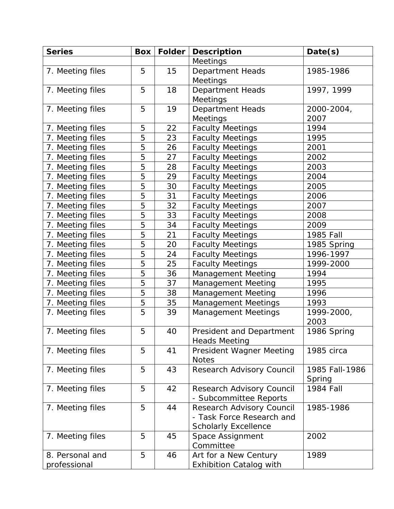| <b>Series</b>    | <b>Box</b> | <b>Folder</b> | <b>Description</b>             | Date(s)        |
|------------------|------------|---------------|--------------------------------|----------------|
|                  |            |               | Meetings                       |                |
| 7. Meeting files | 5          | 15            | <b>Department Heads</b>        | 1985-1986      |
|                  |            |               | Meetings                       |                |
| 7. Meeting files | 5          | 18            | Department Heads               | 1997, 1999     |
|                  |            |               | <b>Meetings</b>                |                |
| 7. Meeting files | 5          | 19            | <b>Department Heads</b>        | 2000-2004,     |
|                  |            |               | <b>Meetings</b>                | 2007           |
| 7. Meeting files | 5          | 22            | <b>Faculty Meetings</b>        | 1994           |
| 7. Meeting files | 5          | 23            | <b>Faculty Meetings</b>        | 1995           |
| 7. Meeting files | 5          | 26            | <b>Faculty Meetings</b>        | 2001           |
| 7. Meeting files | 5          | 27            | <b>Faculty Meetings</b>        | 2002           |
| 7. Meeting files | 5          | 28            | <b>Faculty Meetings</b>        | 2003           |
| 7. Meeting files | 5          | 29            | <b>Faculty Meetings</b>        | 2004           |
| 7. Meeting files | 5          | 30            | <b>Faculty Meetings</b>        | 2005           |
| 7. Meeting files | 5          | 31            | <b>Faculty Meetings</b>        | 2006           |
| 7. Meeting files | 5          | 32            | <b>Faculty Meetings</b>        | 2007           |
| 7. Meeting files | 5          | 33            | <b>Faculty Meetings</b>        | 2008           |
| 7. Meeting files | 5          | 34            | <b>Faculty Meetings</b>        | 2009           |
| 7. Meeting files | 5          | 21            | <b>Faculty Meetings</b>        | 1985 Fall      |
| 7. Meeting files | 5          | 20            | <b>Faculty Meetings</b>        | 1985 Spring    |
| 7. Meeting files | 5          | 24            | <b>Faculty Meetings</b>        | 1996-1997      |
| 7. Meeting files | 5          | 25            | <b>Faculty Meetings</b>        | 1999-2000      |
| 7. Meeting files | 5          | 36            | <b>Management Meeting</b>      | 1994           |
| 7. Meeting files | 5          | 37            | <b>Management Meeting</b>      | 1995           |
| 7. Meeting files | 5          | 38            | Management Meeting             | 1996           |
| 7. Meeting files | 5          | 35            | Management Meetings            | 1993           |
| 7. Meeting files | 5          | 39            | <b>Management Meetings</b>     | 1999-2000,     |
|                  |            |               |                                | 2003           |
| 7. Meeting files | 5          | 40            | President and Department       | 1986 Spring    |
|                  |            |               | <b>Heads Meeting</b>           |                |
| 7. Meeting files | 5          | 41            | President Wagner Meeting       | 1985 circa     |
|                  |            |               | <b>Notes</b>                   |                |
| 7. Meeting files | 5          | 43            | Research Advisory Council      | 1985 Fall-1986 |
|                  |            |               |                                | Spring         |
| 7. Meeting files | 5          | 42            | Research Advisory Council      | 1984 Fall      |
|                  |            |               | - Subcommittee Reports         |                |
| 7. Meeting files | 5          | 44            | Research Advisory Council      | 1985-1986      |
|                  |            |               | - Task Force Research and      |                |
|                  |            |               | <b>Scholarly Excellence</b>    |                |
| 7. Meeting files | 5          | 45            | Space Assignment               | 2002           |
|                  |            |               | Committee                      |                |
| 8. Personal and  | 5          | 46            | Art for a New Century          | 1989           |
| professional     |            |               | <b>Exhibition Catalog with</b> |                |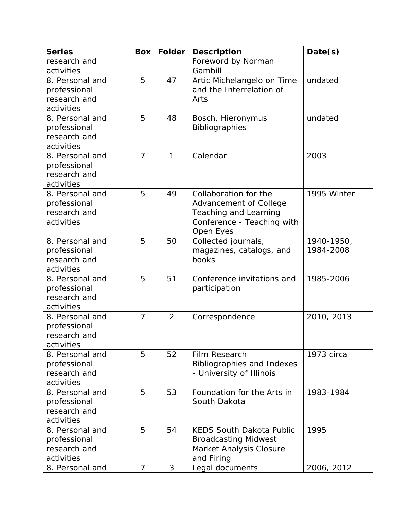| <b>Series</b>                | Box            | <b>Folder</b>  | <b>Description</b>                | Date(s)     |
|------------------------------|----------------|----------------|-----------------------------------|-------------|
| research and                 |                |                | Foreword by Norman                |             |
| activities                   |                |                | Gambill                           |             |
| 8. Personal and              | 5              | 47             | Artic Michelangelo on Time        | undated     |
| professional                 |                |                | and the Interrelation of          |             |
| research and                 |                |                | Arts                              |             |
| activities                   |                |                |                                   |             |
| 8. Personal and              | 5              | 48             | Bosch, Hieronymus                 | undated     |
| professional                 |                |                | <b>Bibliographies</b>             |             |
| research and                 |                |                |                                   |             |
| activities                   |                |                |                                   |             |
| 8. Personal and              | $\overline{7}$ | 1              | Calendar                          | 2003        |
| professional                 |                |                |                                   |             |
| research and                 |                |                |                                   |             |
| activities                   |                |                |                                   |             |
| 8. Personal and              | 5              | 49             | Collaboration for the             | 1995 Winter |
| professional                 |                |                | Advancement of College            |             |
| research and                 |                |                | Teaching and Learning             |             |
| activities                   |                |                | Conference - Teaching with        |             |
|                              |                |                | Open Eyes                         |             |
| 8. Personal and              | 5              | 50             | Collected journals,               | 1940-1950,  |
| professional                 |                |                | magazines, catalogs, and          | 1984-2008   |
| research and                 |                |                | books                             |             |
| activities                   |                | 51             |                                   |             |
| 8. Personal and              | 5              |                | Conference invitations and        | 1985-2006   |
| professional<br>research and |                |                | participation                     |             |
| activities                   |                |                |                                   |             |
| 8. Personal and              | $\overline{7}$ | $\overline{2}$ | Correspondence                    | 2010, 2013  |
| professional                 |                |                |                                   |             |
| research and                 |                |                |                                   |             |
| activities                   |                |                |                                   |             |
| 8. Personal and              | 5              | 52             | Film Research                     | 1973 circa  |
| professional                 |                |                | <b>Bibliographies and Indexes</b> |             |
| research and                 |                |                | - University of Illinois          |             |
| activities                   |                |                |                                   |             |
| 8. Personal and              | 5              | 53             | Foundation for the Arts in        | 1983-1984   |
| professional                 |                |                | South Dakota                      |             |
| research and                 |                |                |                                   |             |
| activities                   |                |                |                                   |             |
| 8. Personal and              | 5              | 54             | <b>KEDS South Dakota Public</b>   | 1995        |
| professional                 |                |                | <b>Broadcasting Midwest</b>       |             |
| research and                 |                |                | Market Analysis Closure           |             |
| activities                   |                |                | and Firing                        |             |
| 8. Personal and              | $\overline{7}$ | 3              | Legal documents                   | 2006, 2012  |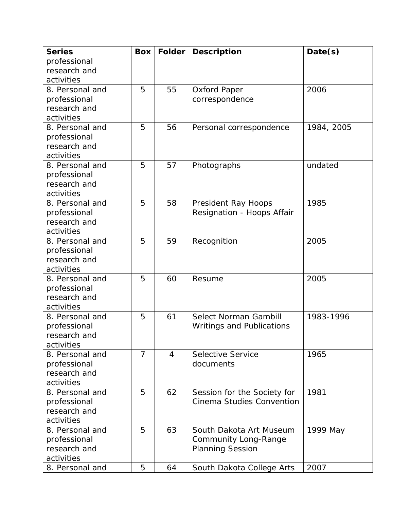| <b>Series</b>   | Box            | <b>Folder</b>  | <b>Description</b>          | Date(s)    |
|-----------------|----------------|----------------|-----------------------------|------------|
| professional    |                |                |                             |            |
| research and    |                |                |                             |            |
| activities      |                |                |                             |            |
| 8. Personal and | 5              | 55             | <b>Oxford Paper</b>         | 2006       |
| professional    |                |                | correspondence              |            |
| research and    |                |                |                             |            |
| activities      |                |                |                             |            |
| 8. Personal and | 5              | 56             | Personal correspondence     | 1984, 2005 |
| professional    |                |                |                             |            |
| research and    |                |                |                             |            |
| activities      |                |                |                             |            |
| 8. Personal and | 5              | 57             | Photographs                 | undated    |
| professional    |                |                |                             |            |
| research and    |                |                |                             |            |
| activities      |                |                |                             |            |
| 8. Personal and | 5              | 58             | President Ray Hoops         | 1985       |
| professional    |                |                | Resignation - Hoops Affair  |            |
| research and    |                |                |                             |            |
| activities      |                |                |                             |            |
| 8. Personal and | 5              | 59             | Recognition                 | 2005       |
| professional    |                |                |                             |            |
| research and    |                |                |                             |            |
| activities      |                |                |                             |            |
| 8. Personal and | 5              | 60             | Resume                      | 2005       |
| professional    |                |                |                             |            |
| research and    |                |                |                             |            |
| activities      |                |                |                             |            |
| 8. Personal and | 5              | 61             | Select Norman Gambill       | 1983-1996  |
| professional    |                |                | Writings and Publications   |            |
| research and    |                |                |                             |            |
| activities      |                |                |                             |            |
| 8. Personal and | $\overline{7}$ | $\overline{4}$ | Selective Service           | 1965       |
| professional    |                |                | documents                   |            |
| research and    |                |                |                             |            |
| activities      |                |                |                             |            |
| 8. Personal and | 5              | 62             | Session for the Society for | 1981       |
| professional    |                |                | Cinema Studies Convention   |            |
| research and    |                |                |                             |            |
| activities      |                |                |                             |            |
| 8. Personal and | 5              | 63             | South Dakota Art Museum     | 1999 May   |
| professional    |                |                | <b>Community Long-Range</b> |            |
| research and    |                |                | <b>Planning Session</b>     |            |
| activities      |                |                |                             |            |
| 8. Personal and | 5              | 64             | South Dakota College Arts   | 2007       |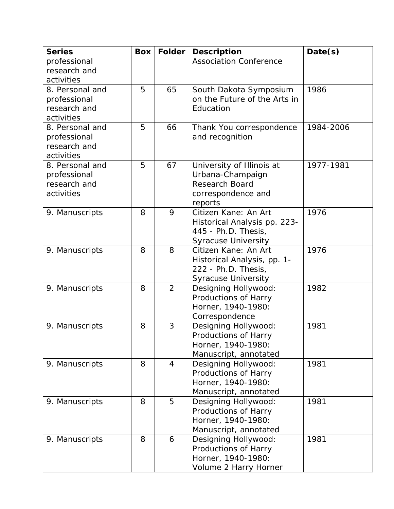| <b>Series</b>   | Box | <b>Folder</b>  | <b>Description</b>            | Date(s)   |
|-----------------|-----|----------------|-------------------------------|-----------|
| professional    |     |                | <b>Association Conference</b> |           |
| research and    |     |                |                               |           |
| activities      |     |                |                               |           |
| 8. Personal and | 5   | 65             | South Dakota Symposium        | 1986      |
| professional    |     |                | on the Future of the Arts in  |           |
| research and    |     |                | Education                     |           |
| activities      |     |                |                               |           |
| 8. Personal and | 5   | 66             | Thank You correspondence      | 1984-2006 |
| professional    |     |                | and recognition               |           |
| research and    |     |                |                               |           |
| activities      |     |                |                               |           |
| 8. Personal and | 5   | 67             | University of Illinois at     | 1977-1981 |
| professional    |     |                | Urbana-Champaign              |           |
| research and    |     |                | <b>Research Board</b>         |           |
| activities      |     |                | correspondence and            |           |
|                 |     |                | reports                       |           |
| 9. Manuscripts  | 8   | 9              | Citizen Kane: An Art          | 1976      |
|                 |     |                | Historical Analysis pp. 223-  |           |
|                 |     |                | 445 - Ph.D. Thesis,           |           |
|                 |     |                | <b>Syracuse University</b>    |           |
| 9. Manuscripts  | 8   | 8              | Citizen Kane: An Art          | 1976      |
|                 |     |                | Historical Analysis, pp. 1-   |           |
|                 |     |                | 222 - Ph.D. Thesis,           |           |
|                 |     |                | <b>Syracuse University</b>    |           |
| 9. Manuscripts  | 8   | $\overline{2}$ | Designing Hollywood:          | 1982      |
|                 |     |                | Productions of Harry          |           |
|                 |     |                | Horner, 1940-1980:            |           |
|                 |     |                | Correspondence                |           |
| 9. Manuscripts  | 8   | 3              | Designing Hollywood:          | 1981      |
|                 |     |                | Productions of Harry          |           |
|                 |     |                | Horner, 1940-1980:            |           |
|                 |     |                | Manuscript, annotated         |           |
| 9. Manuscripts  | 8   | $\overline{4}$ | Designing Hollywood:          | 1981      |
|                 |     |                | Productions of Harry          |           |
|                 |     |                | Horner, 1940-1980:            |           |
|                 |     |                | Manuscript, annotated         |           |
| 9. Manuscripts  | 8   | 5              | Designing Hollywood:          | 1981      |
|                 |     |                | Productions of Harry          |           |
|                 |     |                | Horner, 1940-1980:            |           |
|                 |     |                | Manuscript, annotated         |           |
| 9. Manuscripts  | 8   | 6              | Designing Hollywood:          | 1981      |
|                 |     |                | Productions of Harry          |           |
|                 |     |                | Horner, 1940-1980:            |           |
|                 |     |                | Volume 2 Harry Horner         |           |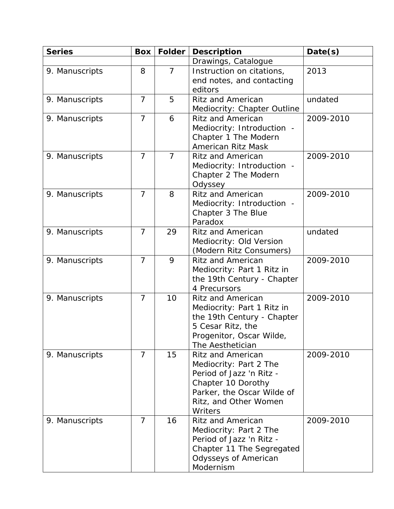| <b>Series</b>  | Box            | <b>Folder</b>  | <b>Description</b>                                  | Date(s)   |
|----------------|----------------|----------------|-----------------------------------------------------|-----------|
|                |                |                | Drawings, Catalogue                                 |           |
| 9. Manuscripts | 8              | $\overline{7}$ | Instruction on citations,                           | 2013      |
|                |                |                | end notes, and contacting                           |           |
|                |                |                | editors                                             |           |
| 9. Manuscripts | $\overline{7}$ | 5              | <b>Ritz and American</b>                            | undated   |
|                |                |                | Mediocrity: Chapter Outline                         |           |
| 9. Manuscripts | $\overline{7}$ | 6              | <b>Ritz and American</b>                            | 2009-2010 |
|                |                |                | Mediocrity: Introduction -                          |           |
|                |                |                | Chapter 1 The Modern                                |           |
|                |                |                | American Ritz Mask                                  |           |
| 9. Manuscripts | $\overline{7}$ | $\overline{7}$ | <b>Ritz and American</b>                            | 2009-2010 |
|                |                |                | Mediocrity: Introduction -                          |           |
|                |                |                | Chapter 2 The Modern                                |           |
|                |                |                | Odyssey                                             |           |
| 9. Manuscripts | $\overline{7}$ | 8              | <b>Ritz and American</b>                            | 2009-2010 |
|                |                |                | Mediocrity: Introduction -                          |           |
|                |                |                | Chapter 3 The Blue<br>Paradox                       |           |
|                | $\overline{7}$ |                | <b>Ritz and American</b>                            | undated   |
| 9. Manuscripts |                | 29             |                                                     |           |
|                |                |                | Mediocrity: Old Version                             |           |
|                | $\overline{7}$ | 9              | (Modern Ritz Consumers)<br><b>Ritz and American</b> | 2009-2010 |
| 9. Manuscripts |                |                | Mediocrity: Part 1 Ritz in                          |           |
|                |                |                | the 19th Century - Chapter                          |           |
|                |                |                | 4 Precursors                                        |           |
| 9. Manuscripts | $\overline{7}$ | 10             | <b>Ritz and American</b>                            | 2009-2010 |
|                |                |                | Mediocrity: Part 1 Ritz in                          |           |
|                |                |                | the 19th Century - Chapter                          |           |
|                |                |                | 5 Cesar Ritz, the                                   |           |
|                |                |                | Progenitor, Oscar Wilde,                            |           |
|                |                |                | The Aesthetician                                    |           |
| 9. Manuscripts | $\overline{7}$ | 15             | <b>Ritz and American</b>                            | 2009-2010 |
|                |                |                | Mediocrity: Part 2 The                              |           |
|                |                |                | Period of Jazz 'n Ritz -                            |           |
|                |                |                | Chapter 10 Dorothy                                  |           |
|                |                |                | Parker, the Oscar Wilde of                          |           |
|                |                |                | Ritz, and Other Women                               |           |
|                |                |                | Writers                                             |           |
| 9. Manuscripts | $\overline{7}$ | 16             | <b>Ritz and American</b>                            | 2009-2010 |
|                |                |                | Mediocrity: Part 2 The                              |           |
|                |                |                | Period of Jazz 'n Ritz -                            |           |
|                |                |                | Chapter 11 The Segregated                           |           |
|                |                |                | Odysseys of American                                |           |
|                |                |                | Modernism                                           |           |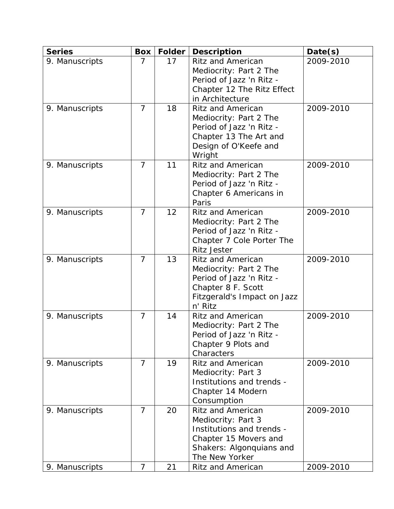| <b>Series</b>  | Box            | Folder | <b>Description</b>                                                                                                                                 | Date(s)   |
|----------------|----------------|--------|----------------------------------------------------------------------------------------------------------------------------------------------------|-----------|
| 9. Manuscripts | 7              | 17     | <b>Ritz and American</b><br>Mediocrity: Part 2 The<br>Period of Jazz 'n Ritz -<br>Chapter 12 The Ritz Effect<br>in Architecture                    | 2009-2010 |
| 9. Manuscripts | $\overline{7}$ | 18     | <b>Ritz and American</b><br>Mediocrity: Part 2 The<br>Period of Jazz 'n Ritz -<br>Chapter 13 The Art and<br>Design of O'Keefe and<br>Wright        | 2009-2010 |
| 9. Manuscripts | $\overline{7}$ | 11     | <b>Ritz and American</b><br>Mediocrity: Part 2 The<br>Period of Jazz 'n Ritz -<br>Chapter 6 Americans in<br>Paris                                  | 2009-2010 |
| 9. Manuscripts | $\overline{7}$ | 12     | <b>Ritz and American</b><br>Mediocrity: Part 2 The<br>Period of Jazz 'n Ritz -<br>Chapter 7 Cole Porter The<br><b>Ritz Jester</b>                  | 2009-2010 |
| 9. Manuscripts | $\overline{7}$ | 13     | <b>Ritz and American</b><br>Mediocrity: Part 2 The<br>Period of Jazz 'n Ritz -<br>Chapter 8 F. Scott<br>Fitzgerald's Impact on Jazz<br>n' Ritz     | 2009-2010 |
| 9. Manuscripts | $\overline{7}$ | 14     | <b>Ritz and American</b><br>Mediocrity: Part 2 The<br>Period of Jazz 'n Ritz -<br>Chapter 9 Plots and<br>Characters                                | 2009-2010 |
| 9. Manuscripts | $\overline{7}$ | 19     | <b>Ritz and American</b><br>Mediocrity: Part 3<br>Institutions and trends -<br>Chapter 14 Modern<br>Consumption                                    | 2009-2010 |
| 9. Manuscripts | $\overline{7}$ | 20     | <b>Ritz and American</b><br>Mediocrity: Part 3<br>Institutions and trends -<br>Chapter 15 Movers and<br>Shakers: Algonquians and<br>The New Yorker | 2009-2010 |
| 9. Manuscripts | $\overline{7}$ | 21     | <b>Ritz and American</b>                                                                                                                           | 2009-2010 |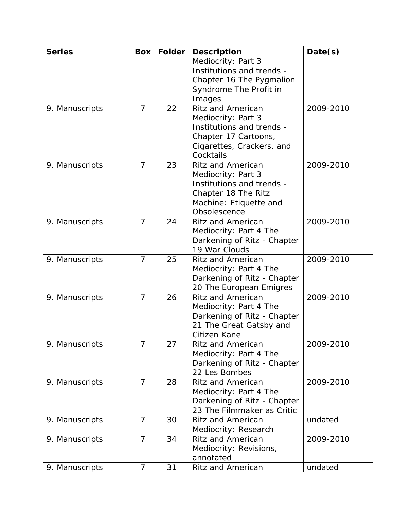| <b>Series</b>  | <b>Box</b>     | <b>Folder</b> | <b>Description</b>                                                                                                                            | Date(s)   |
|----------------|----------------|---------------|-----------------------------------------------------------------------------------------------------------------------------------------------|-----------|
|                |                |               | Mediocrity: Part 3<br>Institutions and trends -<br>Chapter 16 The Pygmalion<br>Syndrome The Profit in<br>Images                               |           |
| 9. Manuscripts | $\overline{7}$ | 22            | <b>Ritz and American</b><br>Mediocrity: Part 3<br>Institutions and trends -<br>Chapter 17 Cartoons,<br>Cigarettes, Crackers, and<br>Cocktails | 2009-2010 |
| 9. Manuscripts | $\overline{7}$ | 23            | <b>Ritz and American</b><br>Mediocrity: Part 3<br>Institutions and trends -<br>Chapter 18 The Ritz<br>Machine: Etiquette and<br>Obsolescence  | 2009-2010 |
| 9. Manuscripts | $\overline{7}$ | 24            | <b>Ritz and American</b><br>Mediocrity: Part 4 The<br>Darkening of Ritz - Chapter<br>19 War Clouds                                            | 2009-2010 |
| 9. Manuscripts | $\overline{7}$ | 25            | <b>Ritz and American</b><br>Mediocrity: Part 4 The<br>Darkening of Ritz - Chapter<br>20 The European Emigres                                  | 2009-2010 |
| 9. Manuscripts | $\overline{7}$ | 26            | <b>Ritz and American</b><br>Mediocrity: Part 4 The<br>Darkening of Ritz - Chapter<br>21 The Great Gatsby and<br>Citizen Kane                  | 2009-2010 |
| 9. Manuscripts | $\overline{7}$ | 27            | <b>Ritz and American</b><br>Mediocrity: Part 4 The<br>Darkening of Ritz - Chapter<br>22 Les Bombes                                            | 2009-2010 |
| 9. Manuscripts | $\overline{7}$ | 28            | <b>Ritz and American</b><br>Mediocrity: Part 4 The<br>Darkening of Ritz - Chapter<br>23 The Filmmaker as Critic                               | 2009-2010 |
| 9. Manuscripts | $\overline{7}$ | 30            | <b>Ritz and American</b><br>Mediocrity: Research                                                                                              | undated   |
| 9. Manuscripts | $\overline{7}$ | 34            | <b>Ritz and American</b><br>Mediocrity: Revisions,<br>annotated                                                                               | 2009-2010 |
| 9. Manuscripts | $\overline{7}$ | 31            | <b>Ritz and American</b>                                                                                                                      | undated   |